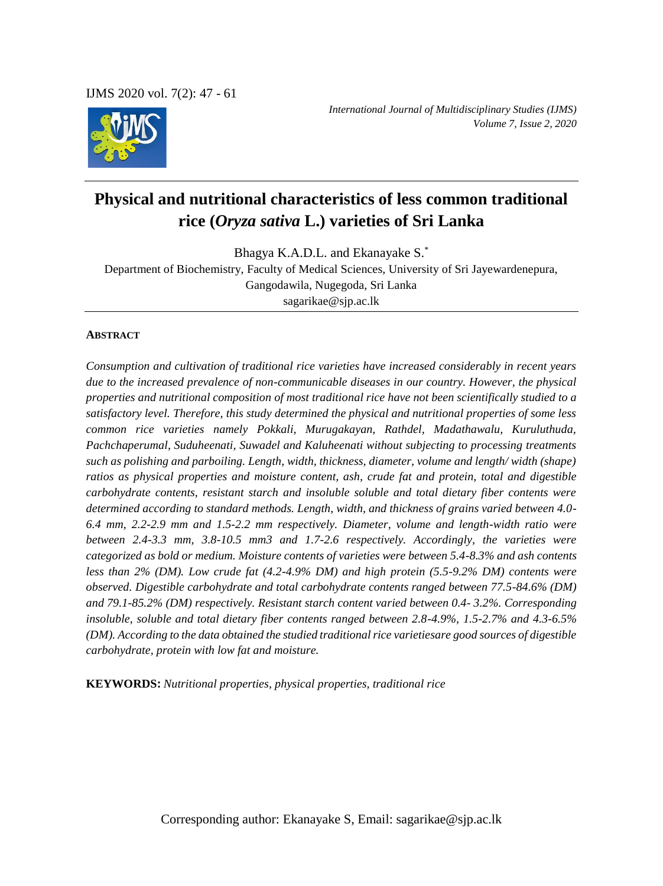IJMS 2020 vol. 7(2): 47 - 61



*International Journal of Multidisciplinary Studies (IJMS) Volume 7, Issue 2, 2020*

# **Physical and nutritional characteristics of less common traditional rice (***Oryza sativa* **L.) varieties of Sri Lanka**

Bhagya K.A.D.L. and Ekanayake S.\* Department of Biochemistry, Faculty of Medical Sciences, University of Sri Jayewardenepura, Gangodawila, Nugegoda, Sri Lanka sagarikae@sjp.ac.lk

#### **ABSTRACT**

*Consumption and cultivation of traditional rice varieties have increased considerably in recent years due to the increased prevalence of non-communicable diseases in our country. However, the physical properties and nutritional composition of most traditional rice have not been scientifically studied to a satisfactory level. Therefore, this study determined the physical and nutritional properties of some less common rice varieties namely Pokkali, Murugakayan, Rathdel, Madathawalu, Kuruluthuda, Pachchaperumal, Suduheenati, Suwadel and Kaluheenati without subjecting to processing treatments such as polishing and parboiling. Length, width, thickness, diameter, volume and length/ width (shape) ratios as physical properties and moisture content, ash, crude fat and protein, total and digestible carbohydrate contents, resistant starch and insoluble soluble and total dietary fiber contents were determined according to standard methods. Length, width, and thickness of grains varied between 4.0- 6.4 mm, 2.2-2.9 mm and 1.5-2.2 mm respectively. Diameter, volume and length-width ratio were between 2.4-3.3 mm, 3.8-10.5 mm3 and 1.7-2.6 respectively. Accordingly, the varieties were categorized as bold or medium. Moisture contents of varieties were between 5.4-8.3% and ash contents less than 2% (DM). Low crude fat (4.2-4.9% DM) and high protein (5.5-9.2% DM) contents were observed. Digestible carbohydrate and total carbohydrate contents ranged between 77.5-84.6% (DM) and 79.1-85.2% (DM) respectively. Resistant starch content varied between 0.4- 3.2%. Corresponding insoluble, soluble and total dietary fiber contents ranged between 2.8-4.9%, 1.5-2.7% and 4.3-6.5% (DM). According to the data obtained the studied traditional rice varietiesare good sources of digestible carbohydrate, protein with low fat and moisture.* 

**KEYWORDS:** *Nutritional properties, physical properties, traditional rice*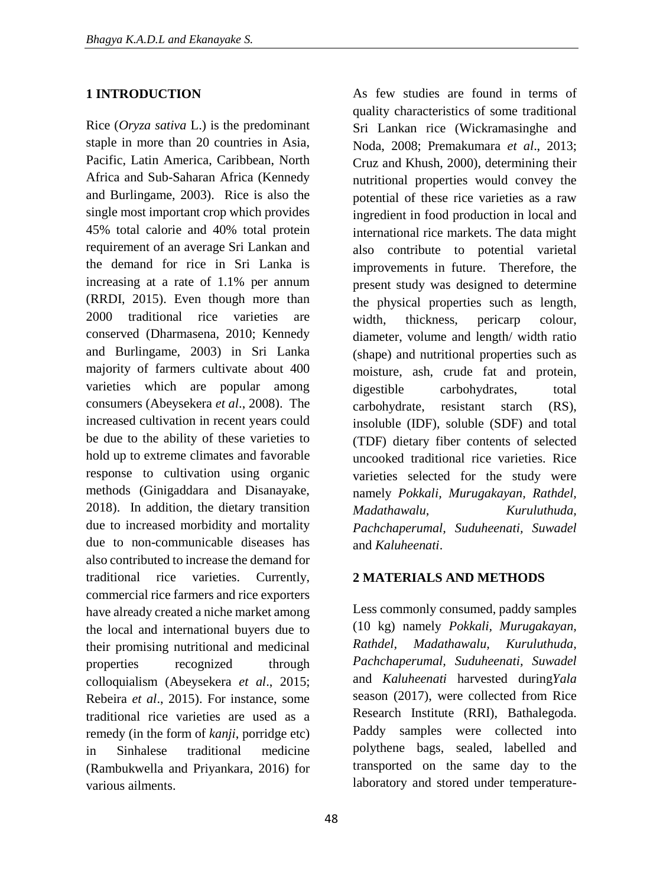## **1 INTRODUCTION**

Rice (*Oryza sativa* L.) is the predominant staple in more than 20 countries in Asia, Pacific, Latin America, Caribbean, North Africa and Sub-Saharan Africa (Kennedy and Burlingame, 2003). Rice is also the single most important crop which provides 45% total calorie and 40% total protein requirement of an average Sri Lankan and the demand for rice in Sri Lanka is increasing at a rate of 1.1% per annum (RRDI, 2015). Even though more than 2000 traditional rice varieties are conserved (Dharmasena, 2010; Kennedy and Burlingame, 2003) in Sri Lanka majority of farmers cultivate about 400 varieties which are popular among consumers (Abeysekera *et al*., 2008). The increased cultivation in recent years could be due to the ability of these varieties to hold up to extreme climates and favorable response to cultivation using organic methods (Ginigaddara and Disanayake, 2018). In addition, the dietary transition due to increased morbidity and mortality due to non-communicable diseases has also contributed to increase the demand for traditional rice varieties. Currently, commercial rice farmers and rice exporters have already created a niche market among the local and international buyers due to their promising nutritional and medicinal properties recognized through colloquialism (Abeysekera *et al*., 2015; Rebeira *et al*., 2015). For instance, some traditional rice varieties are used as a remedy (in the form of *kanji*, porridge etc) in Sinhalese traditional medicine (Rambukwella and Priyankara, 2016) for various ailments.

As few studies are found in terms of quality characteristics of some traditional Sri Lankan rice (Wickramasinghe and Noda, 2008; Premakumara *et al*., 2013; Cruz and Khush, 2000), determining their nutritional properties would convey the potential of these rice varieties as a raw ingredient in food production in local and international rice markets. The data might also contribute to potential varietal improvements in future. Therefore, the present study was designed to determine the physical properties such as length, width, thickness, pericarp colour, diameter, volume and length/ width ratio (shape) and nutritional properties such as moisture, ash, crude fat and protein, digestible carbohydrates, total carbohydrate, resistant starch (RS), insoluble (IDF), soluble (SDF) and total (TDF) dietary fiber contents of selected uncooked traditional rice varieties. Rice varieties selected for the study were namely *Pokkali, Murugakayan, Rathdel, Madathawalu, Kuruluthuda, Pachchaperumal, Suduheenati, Suwadel* and *Kaluheenati*.

#### **2 MATERIALS AND METHODS**

Less commonly consumed, paddy samples (10 kg) namely *Pokkali, Murugakayan, Rathdel, Madathawalu, Kuruluthuda, Pachchaperumal, Suduheenati, Suwadel* and *Kaluheenati* harvested during*Yala* season (2017), were collected from Rice Research Institute (RRI), Bathalegoda. Paddy samples were collected into polythene bags, sealed, labelled and transported on the same day to the laboratory and stored under temperature-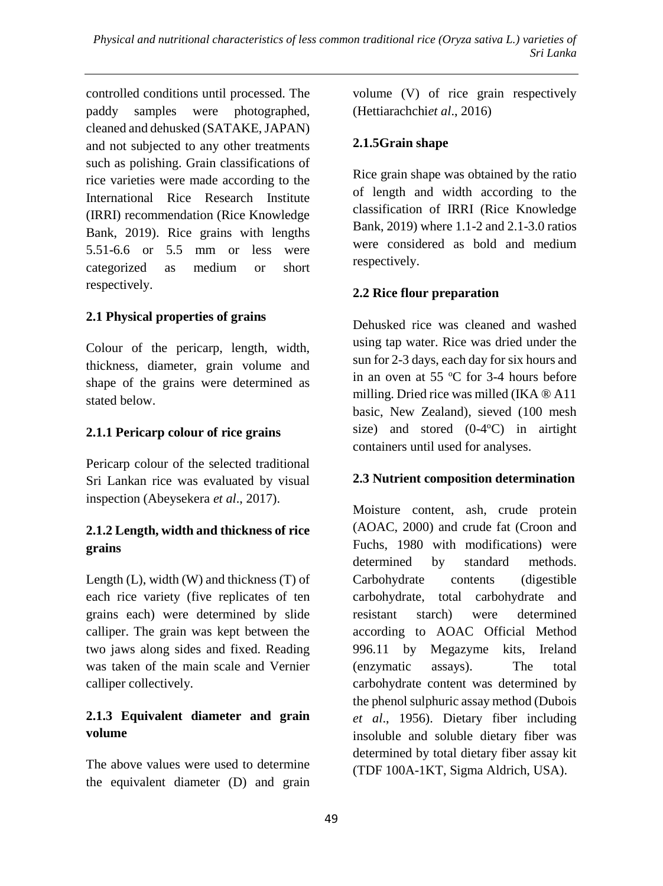controlled conditions until processed. The paddy samples were photographed, cleaned and dehusked (SATAKE, JAPAN) and not subjected to any other treatments such as polishing. Grain classifications of rice varieties were made according to the International Rice Research Institute (IRRI) recommendation (Rice Knowledge Bank, 2019). Rice grains with lengths 5.51-6.6 or 5.5 mm or less were categorized as medium or short respectively.

# **2.1 Physical properties of grains**

Colour of the pericarp, length, width, thickness, diameter, grain volume and shape of the grains were determined as stated below.

## **2.1.1 Pericarp colour of rice grains**

Pericarp colour of the selected traditional Sri Lankan rice was evaluated by visual inspection (Abeysekera *et al*., 2017).

## **2.1.2 Length, width and thickness of rice grains**

Length (L), width (W) and thickness (T) of each rice variety (five replicates of ten grains each) were determined by slide calliper. The grain was kept between the two jaws along sides and fixed. Reading was taken of the main scale and Vernier calliper collectively.

# **2.1.3 Equivalent diameter and grain volume**

The above values were used to determine the equivalent diameter (D) and grain volume (V) of rice grain respectively (Hettiarachchi*et al*., 2016)

## **2.1.5Grain shape**

Rice grain shape was obtained by the ratio of length and width according to the classification of IRRI (Rice Knowledge Bank, 2019) where 1.1-2 and 2.1-3.0 ratios were considered as bold and medium respectively.

## **2.2 Rice flour preparation**

Dehusked rice was cleaned and washed using tap water. Rice was dried under the sun for 2-3 days, each day for six hours and in an oven at 55  $\degree$ C for 3-4 hours before milling. Dried rice was milled (IKA ® A11 basic, New Zealand), sieved (100 mesh size) and stored  $(0-4$ <sup>o</sup>C) in airtight containers until used for analyses.

#### **2.3 Nutrient composition determination**

Moisture content, ash, crude protein (AOAC, 2000) and crude fat (Croon and Fuchs, 1980 with modifications) were determined by standard methods. Carbohydrate contents (digestible carbohydrate, total carbohydrate and resistant starch) were determined according to AOAC Official Method 996.11 by Megazyme kits, Ireland (enzymatic assays). The total carbohydrate content was determined by the phenol sulphuric assay method (Dubois *et al*., 1956). Dietary fiber including insoluble and soluble dietary fiber was determined by total dietary fiber assay kit (TDF 100A-1KT, Sigma Aldrich, USA).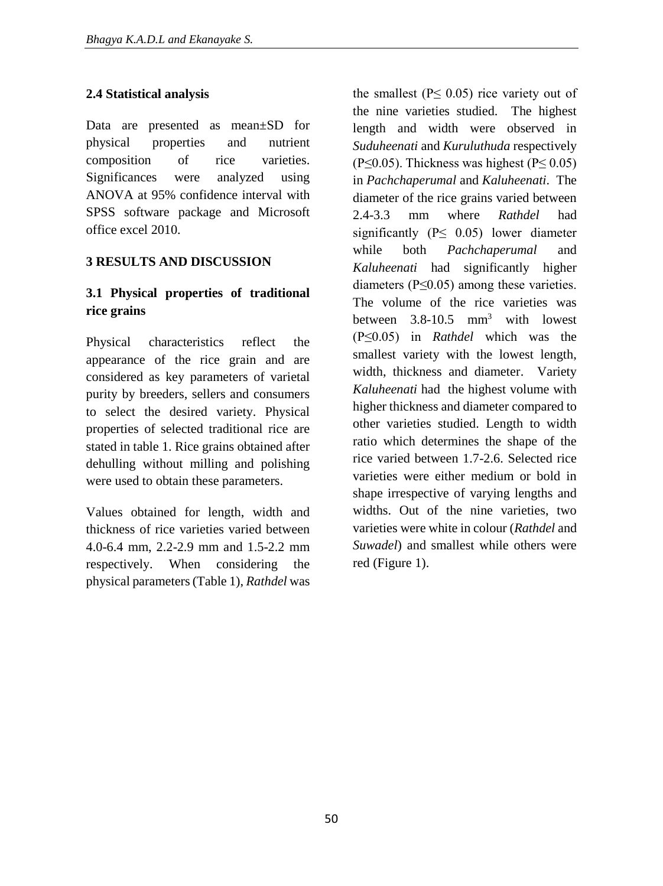# **2.4 Statistical analysis**

Data are presented as mean±SD for physical properties and nutrient composition of rice varieties. Significances were analyzed using ANOVA at 95% confidence interval with SPSS software package and Microsoft office excel 2010.

## **3 RESULTS AND DISCUSSION**

# **3.1 Physical properties of traditional rice grains**

Physical characteristics reflect the appearance of the rice grain and are considered as key parameters of varietal purity by breeders, sellers and consumers to select the desired variety. Physical properties of selected traditional rice are stated in table 1. Rice grains obtained after dehulling without milling and polishing were used to obtain these parameters.

Values obtained for length, width and thickness of rice varieties varied between 4.0-6.4 mm, 2.2-2.9 mm and 1.5-2.2 mm respectively. When considering the physical parameters (Table 1), *Rathdel* was

the smallest ( $P \leq 0.05$ ) rice variety out of the nine varieties studied. The highest length and width were observed in *Suduheenati* and *Kuruluthuda* respectively (P $\leq$ 0.05). Thickness was highest (P $\leq$ 0.05) in *Pachchaperumal* and *Kaluheenati*. The diameter of the rice grains varied between 2.4-3.3 mm where *Rathdel* had significantly ( $P \leq 0.05$ ) lower diameter while both *Pachchaperumal* and *Kaluheenati* had significantly higher diameters ( $P \leq 0.05$ ) among these varieties. The volume of the rice varieties was between 3.8-10.5 mm<sup>3</sup> with lowest (P≤0.05) in *Rathdel* which was the smallest variety with the lowest length, width, thickness and diameter. Variety *Kaluheenati* had the highest volume with higher thickness and diameter compared to other varieties studied. Length to width ratio which determines the shape of the rice varied between 1.7-2.6. Selected rice varieties were either medium or bold in shape irrespective of varying lengths and widths. Out of the nine varieties, two varieties were white in colour (*Rathdel* and *Suwadel*) and smallest while others were red (Figure 1).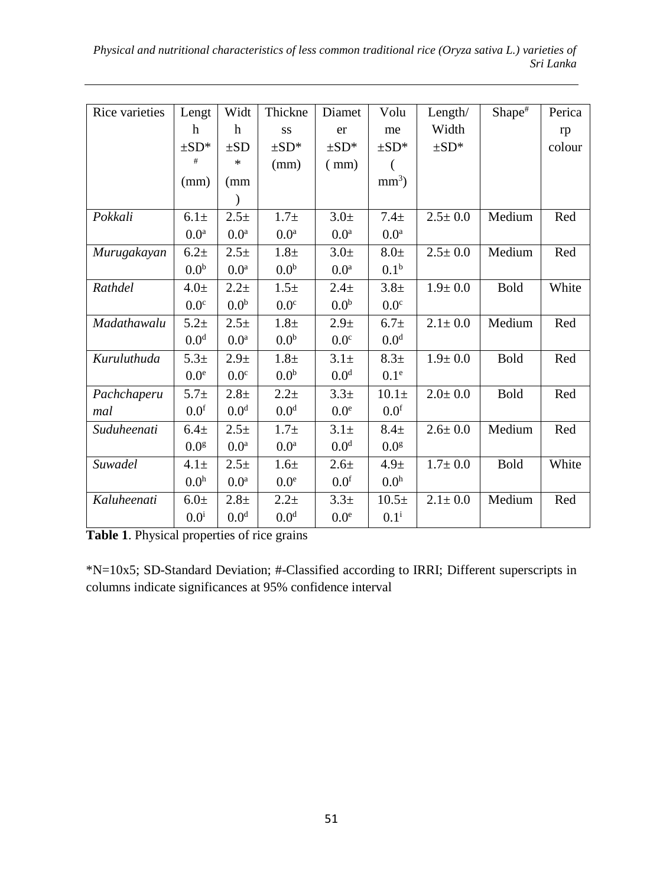*Physical and nutritional characteristics of less common traditional rice (Oryza sativa L.) varieties of Sri Lanka*

| Rice varieties | Lengt            | Widt             | Thickne          | Diamet           | Volu             | Length $/$    | Shape <sup>#</sup> | Perica |
|----------------|------------------|------------------|------------------|------------------|------------------|---------------|--------------------|--------|
|                | h                | h                | SS               | er               | me               | Width         |                    | rp     |
|                | $\pm SD^*$       | $\pm SD$         | $\pm SD^*$       | $\pm SD^*$       | $\pm SD^*$       | $\pm SD^*$    |                    | colour |
|                | #                | ∗                | (mm)             | (mm)             | (                |               |                    |        |
|                | (mm)             | (mm              |                  |                  | $mm3$ )          |               |                    |        |
|                |                  | ⟩                |                  |                  |                  |               |                    |        |
| Pokkali        | $6.1 \pm$        | $2.5 +$          | $1.7\pm$         | 3.0 <sub>±</sub> | 7.4 <sub>±</sub> | $2.5 \pm 0.0$ | Medium             | Red    |
|                | 0.0 <sup>a</sup> | 0.0 <sup>a</sup> | 0.0 <sup>a</sup> | 0.0 <sup>a</sup> | 0.0 <sup>a</sup> |               |                    |        |
| Murugakayan    | $6.2\pm$         | $2.5 +$          | 1.8 <sub>±</sub> | 3.0 <sub>±</sub> | $8.0\pm$         | $2.5 \pm 0.0$ | Medium             | Red    |
|                | 0.0 <sup>b</sup> | 0.0 <sup>a</sup> | 0.0 <sup>b</sup> | 0.0 <sup>a</sup> | 0.1 <sup>b</sup> |               |                    |        |
| Rathdel        | $4.0\pm$         | $2.2 +$          | 1.5 <sub>±</sub> | 2.4 <sub>±</sub> | $3.8 +$          | $1.9 \pm 0.0$ | Bold               | White  |
|                | 0.0 <sup>c</sup> | 0.0 <sup>b</sup> | 0.0 <sup>c</sup> | 0.0 <sup>b</sup> | 0.0 <sup>c</sup> |               |                    |        |
| Madathawalu    | $5.2 +$          | $2.5+$           | $1.8\pm$         | 2.9 <sub>±</sub> | 6.7 <sub>±</sub> | $2.1 \pm 0.0$ | Medium             | Red    |
|                | 0.0 <sup>d</sup> | 0.0 <sup>a</sup> | 0.0 <sup>b</sup> | 0.0 <sup>c</sup> | 0.0 <sup>d</sup> |               |                    |        |
| Kuruluthuda    | $5.3+$           | 2.9 <sub>±</sub> | 1.8 <sub>±</sub> | 3.1 <sub>±</sub> | 8.3 <sub>±</sub> | $1.9 \pm 0.0$ | <b>Bold</b>        | Red    |
|                | 0.0 <sup>e</sup> | 0.0 <sup>c</sup> | 0.0 <sup>b</sup> | 0.0 <sup>d</sup> | 0.1 <sup>e</sup> |               |                    |        |
| Pachchaperu    | $5.7 +$          | $2.8 +$          | $2.2 +$          | 3.3 <sup>±</sup> | $10.1\pm$        | $2.0 \pm 0.0$ | <b>Bold</b>        | Red    |
| mal            | 0.0 <sup>f</sup> | 0.0 <sup>d</sup> | 0.0 <sup>d</sup> | 0.0 <sup>e</sup> | 0.0 <sup>f</sup> |               |                    |        |
| Suduheenati    | 6.4 <sub>±</sub> | $2.5 +$          | $1.7\pm$         | $3.1\pm$         | $8.4\pm$         | $2.6 \pm 0.0$ | Medium             | Red    |
|                | 0.0 <sup>g</sup> | 0.0 <sup>a</sup> | 0.0 <sup>a</sup> | 0.0 <sup>d</sup> | 0.0 <sup>g</sup> |               |                    |        |
| Suwadel        | $4.1\pm$         | $2.5 +$          | 1.6 <sub>±</sub> | $2.6 +$          | 4.9 <sub>±</sub> | $1.7 \pm 0.0$ | Bold               | White  |
|                | 0.0 <sup>h</sup> | 0.0 <sup>a</sup> | 0.0 <sup>e</sup> | 0.0 <sup>f</sup> | 0.0 <sup>h</sup> |               |                    |        |
| Kaluheenati    | $6.0\pm$         | $2.8\pm$         | $2.2 +$          | $3.3+$           | $10.5+$          | $2.1 \pm 0.0$ | Medium             | Red    |
|                | $0.0^{\rm i}$    | 0.0 <sup>d</sup> | 0.0 <sup>d</sup> | 0.0 <sup>e</sup> | $0.1^{i}$        |               |                    |        |

**Table 1**. Physical properties of rice grains

\*N=10x5; SD-Standard Deviation; #-Classified according to IRRI; Different superscripts in columns indicate significances at 95% confidence interval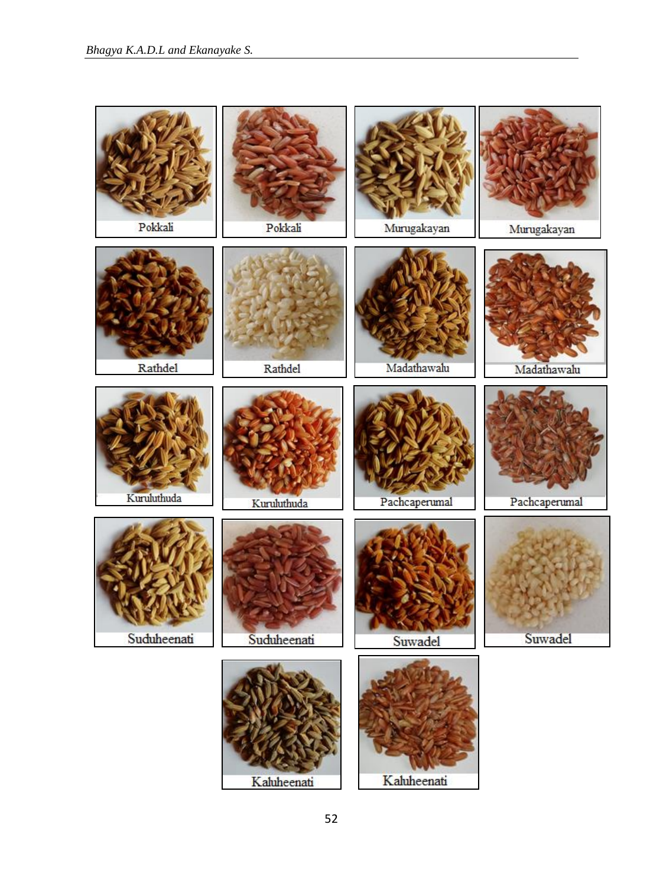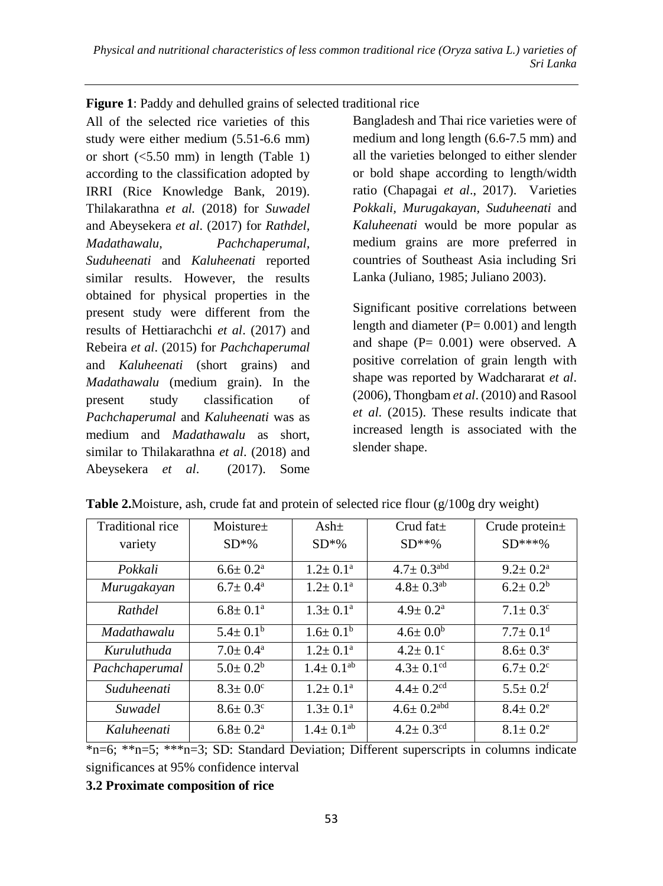#### **Figure 1**: Paddy and dehulled grains of selected traditional rice

All of the selected rice varieties of this study were either medium (5.51-6.6 mm) or short (<5.50 mm) in length (Table 1) according to the classification adopted by IRRI (Rice Knowledge Bank, 2019). Thilakarathna *et al.* (2018) for *Suwadel* and Abeysekera *et al*. (2017) for *Rathdel, Madathawalu, Pachchaperumal, Suduheenati* and *Kaluheenati* reported similar results. However, the results obtained for physical properties in the present study were different from the results of Hettiarachchi *et al*. (2017) and Rebeira *et al*. (2015) for *Pachchaperumal* and *Kaluheenati* (short grains) and *Madathawalu* (medium grain). In the present study classification of *Pachchaperumal* and *Kaluheenati* was as medium and *Madathawalu* as short, similar to Thilakarathna *et al*. (2018) and Abeysekera *et al*. (2017). Some

Bangladesh and Thai rice varieties were of medium and long length (6.6-7.5 mm) and all the varieties belonged to either slender or bold shape according to length/width ratio (Chapagai *et al*., 2017). Varieties *Pokkali, Murugakayan, Suduheenati* and *Kaluheenati* would be more popular as medium grains are more preferred in countries of Southeast Asia including Sri Lanka (Juliano, 1985; Juliano 2003).

Significant positive correlations between length and diameter  $(P= 0.001)$  and length and shape  $(P= 0.001)$  were observed. A positive correlation of grain length with shape was reported by Wadchararat *et al*. (2006), Thongbam *et al*. (2010) and Rasool *et al*. (2015). These results indicate that increased length is associated with the slender shape.

| Traditional rice | Moisture $\pm$             | Ash <sub>±</sub>         | Crud fat $\pm$               | Crude protein±             |
|------------------|----------------------------|--------------------------|------------------------------|----------------------------|
| variety          | $SD*%$                     | $SD*%$                   | $SD***%$                     | $SD***%$                   |
| Pokkali          | $6.6 \pm 0.2^{\text{a}}$   | $1.2 \pm 0.1^{\text{a}}$ | $4.7 \pm 0.3$ <sup>abd</sup> | $9.2 \pm 0.2^{\rm a}$      |
| Murugakayan      | $6.7 \pm 0.4^{\rm a}$      | $1.2 \pm 0.1^{\text{a}}$ | $4.8 \pm 0.3$ <sup>ab</sup>  | $6.2 \pm 0.2^b$            |
| Rathdel          | $6.8 \pm 0.1^{\text{a}}$   | $1.3 \pm 0.1^{\text{a}}$ | $4.9 \pm 0.2^{\rm a}$        | $7.1 \pm 0.3^{\circ}$      |
| Madathawalu      | $5.4 \pm 0.1^{\rm b}$      | $1.6 \pm 0.1^b$          | $4.6 \pm 0.0^b$              | $7.7 \pm 0.1$ <sup>d</sup> |
| Kuruluthuda      | $7.0 \pm 0.4^{\text{a}}$   | $1.2 \pm 0.1^{\text{a}}$ | $4.2 \pm 0.1$ °              | $8.6 \pm 0.3^e$            |
| Pachchaperumal   | $5.0 \pm 0.2^b$            | $1.4 \pm 0.1^{ab}$       | $4.3 \pm 0.1$ <sup>cd</sup>  | $6.7 \pm 0.2$ <sup>c</sup> |
| Suduheenati      | $8.3 \pm 0.0^{\circ}$      | $1.2 \pm 0.1^{\text{a}}$ | $4.4 \pm 0.2$ <sup>cd</sup>  | $5.5 \pm 0.2$ <sup>f</sup> |
| Suwadel          | $8.6 \pm 0.3$ <sup>c</sup> | $1.3 \pm 0.1^{\rm a}$    | $4.6 \pm 0.2$ <sup>abd</sup> | $8.4 \pm 0.2^e$            |
| Kaluheenati      | $6.8 \pm 0.2^{\rm a}$      | $1.4 \pm 0.1^{ab}$       | $4.2 \pm 0.3$ <sup>cd</sup>  | $8.1 \pm 0.2^e$            |

**Table 2.**Moisture, ash, crude fat and protein of selected rice flour  $(g/100g)$  dry weight)

\*n=6; \*\*n=5; \*\*\*n=3; SD: Standard Deviation; Different superscripts in columns indicate significances at 95% confidence interval

#### **3.2 Proximate composition of rice**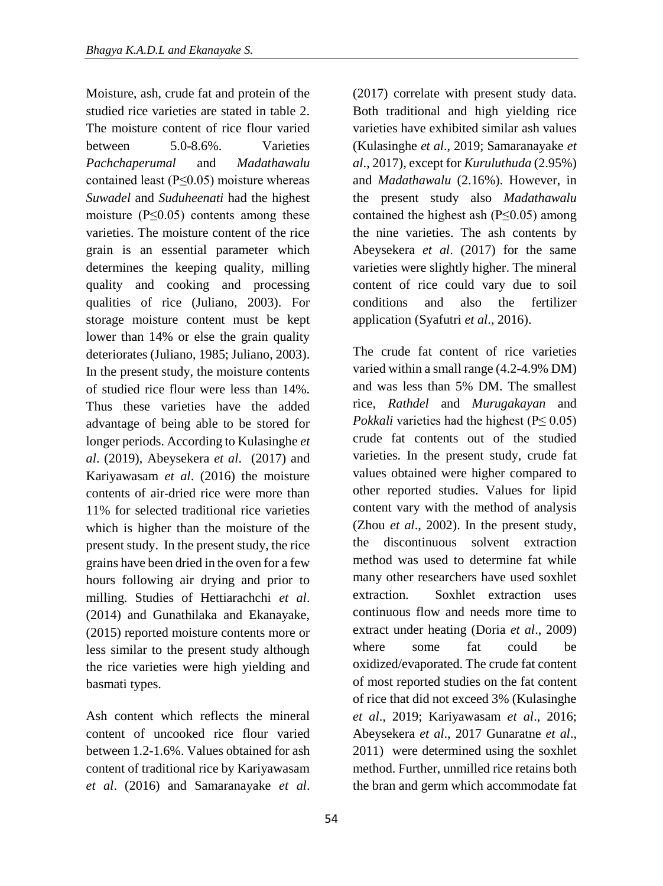Moisture, ash, crude fat and protein of the studied rice varieties are stated in table 2. The moisture content of rice flour varied between 5.0-8.6%. Varieties *Pachchaperumal* and *Madathawalu* contained least (P≤0.05) moisture whereas *Suwadel* and *Suduheenati* had the highest moisture ( $P \leq 0.05$ ) contents among these varieties. The moisture content of the rice grain is an essential parameter which determines the keeping quality, milling quality and cooking and processing qualities of rice (Juliano, 2003). For storage moisture content must be kept lower than 14% or else the grain quality deteriorates (Juliano, 1985; Juliano, 2003). In the present study, the moisture contents of studied rice flour were less than 14%. Thus these varieties have the added advantage of being able to be stored for longer periods. According to Kulasinghe *et al*. (2019), Abeysekera *et al*. (2017) and Kariyawasam *et al*. (2016) the moisture contents of air-dried rice were more than 11% for selected traditional rice varieties which is higher than the moisture of the present study. In the present study, the rice grains have been dried in the oven for a few hours following air drying and prior to milling. Studies of Hettiarachchi *et al*. (2014) and Gunathilaka and Ekanayake, (2015) reported moisture contents more or less similar to the present study although the rice varieties were high yielding and basmati types.

Ash content which reflects the mineral content of uncooked rice flour varied between 1.2-1.6%. Values obtained for ash content of traditional rice by Kariyawasam *et al*. (2016) and Samaranayake *et al*. (2017) correlate with present study data. Both traditional and high yielding rice varieties have exhibited similar ash values (Kulasinghe *et al*., 2019; Samaranayake *et al*., 2017), except for *Kuruluthuda* (2.95%) and *Madathawalu* (2.16%). However, in the present study also *Madathawalu* contained the highest ash ( $P \leq 0.05$ ) among the nine varieties. The ash contents by Abeysekera *et al*. (2017) for the same varieties were slightly higher. The mineral content of rice could vary due to soil conditions and also the fertilizer application (Syafutri *et al*., 2016).

The crude fat content of rice varieties varied within a small range (4.2-4.9% DM) and was less than 5% DM. The smallest rice, *Rathdel* and *Murugakayan* and *Pokkali* varieties had the highest ( $P \le 0.05$ ) crude fat contents out of the studied varieties. In the present study, crude fat values obtained were higher compared to other reported studies. Values for lipid content vary with the method of analysis (Zhou *et al*., 2002). In the present study, the discontinuous solvent extraction method was used to determine fat while many other researchers have used soxhlet extraction. Soxhlet extraction uses continuous flow and needs more time to extract under heating (Doria *et al*., 2009) where some fat could be oxidized/evaporated. The crude fat content of most reported studies on the fat content of rice that did not exceed 3% (Kulasinghe *et al*., 2019; Kariyawasam *et al*., 2016; Abeysekera *et al*., 2017 Gunaratne *et al*., 2011) were determined using the soxhlet method. Further, unmilled rice retains both the bran and germ which accommodate fat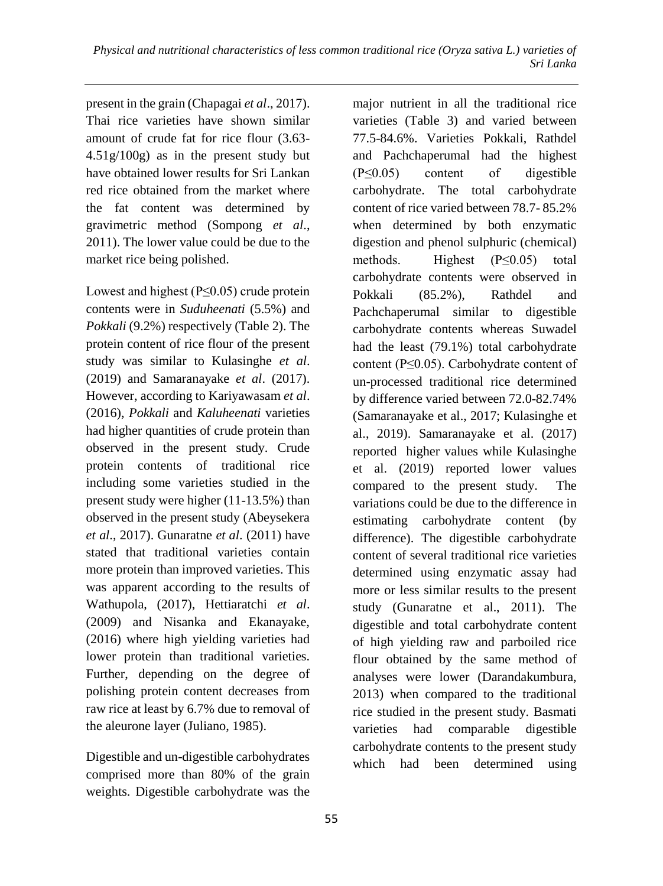present in the grain (Chapagai *et al*., 2017). Thai rice varieties have shown similar amount of crude fat for rice flour (3.63- 4.51g/100g) as in the present study but have obtained lower results for Sri Lankan red rice obtained from the market where the fat content was determined by gravimetric method (Sompong *et al*., 2011). The lower value could be due to the market rice being polished.

Lowest and highest (P≤0.05) crude protein contents were in *Suduheenati* (5.5%) and *Pokkali* (9.2%) respectively (Table 2). The protein content of rice flour of the present study was similar to Kulasinghe *et al*. (2019) and Samaranayake *et al*. (2017). However, according to Kariyawasam *et al*. (2016), *Pokkali* and *Kaluheenati* varieties had higher quantities of crude protein than observed in the present study. Crude protein contents of traditional rice including some varieties studied in the present study were higher (11-13.5%) than observed in the present study (Abeysekera *et al*., 2017). Gunaratne *et al*. (2011) have stated that traditional varieties contain more protein than improved varieties. This was apparent according to the results of Wathupola, (2017), Hettiaratchi *et al*. (2009) and Nisanka and Ekanayake, (2016) where high yielding varieties had lower protein than traditional varieties. Further, depending on the degree of polishing protein content decreases from raw rice at least by 6.7% due to removal of the aleurone layer (Juliano, 1985).

Digestible and un-digestible carbohydrates comprised more than 80% of the grain weights. Digestible carbohydrate was the

major nutrient in all the traditional rice varieties (Table 3) and varied between 77.5-84.6%. Varieties Pokkali, Rathdel and Pachchaperumal had the highest (P≤0.05) content of digestible carbohydrate. The total carbohydrate content of rice varied between 78.7- 85.2% when determined by both enzymatic digestion and phenol sulphuric (chemical) methods. Highest  $(P \le 0.05)$  total carbohydrate contents were observed in Pokkali (85.2%), Rathdel and Pachchaperumal similar to digestible carbohydrate contents whereas Suwadel had the least (79.1%) total carbohydrate content (P≤0.05). Carbohydrate content of un-processed traditional rice determined by difference varied between 72.0-82.74% (Samaranayake et al., 2017; Kulasinghe et al., 2019). Samaranayake et al. (2017) reported higher values while Kulasinghe et al. (2019) reported lower values compared to the present study. The variations could be due to the difference in estimating carbohydrate content (by difference). The digestible carbohydrate content of several traditional rice varieties determined using enzymatic assay had more or less similar results to the present study (Gunaratne et al., 2011). The digestible and total carbohydrate content of high yielding raw and parboiled rice flour obtained by the same method of analyses were lower (Darandakumbura, 2013) when compared to the traditional rice studied in the present study. Basmati varieties had comparable digestible carbohydrate contents to the present study which had been determined using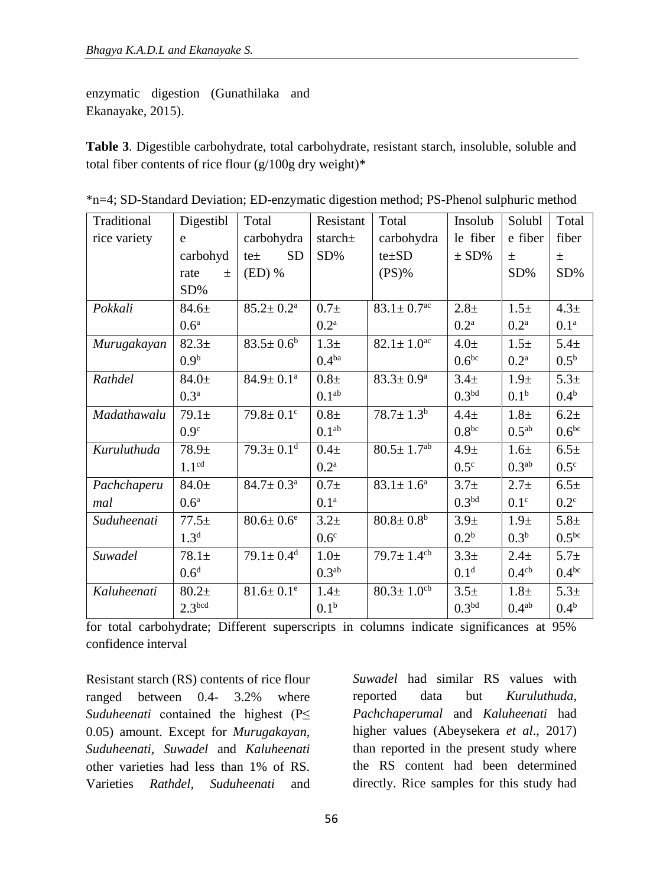enzymatic digestion (Gunathilaka and Ekanayake, 2015).

**Table 3**. Digestible carbohydrate, total carbohydrate, resistant starch, insoluble, soluble and total fiber contents of rice flour  $(g/100g)$  dry weight)\*

| Traditional  | Digestibl          | Total                       | Resistant         | Total                        | Insolub           | Solubl             | Total             |
|--------------|--------------------|-----------------------------|-------------------|------------------------------|-------------------|--------------------|-------------------|
| rice variety | e                  | carbohydra                  | starch $\pm$      | carbohydra                   | le fiber          | e fiber            | fiber             |
|              | carbohyd           | <b>SD</b><br>$te \pm$       | SD%               | $te \pm SD$                  | $\pm$ SD%         | $\pm$              | $\pm$             |
|              | rate<br>土          | $(ED)$ %                    |                   | $(PS)\%$                     |                   | SD%                | SD%               |
|              | SD%                |                             |                   |                              |                   |                    |                   |
| Pokkali      | $84.6 \pm$         | $85.2 \pm 0.2^{\mathrm{a}}$ | $0.7\pm$          | $83.1 \pm 0.7$ <sup>ac</sup> | 2.8 <sub>±</sub>  | $1.5\pm$           | 4.3 <sub>±</sub>  |
|              | 0.6 <sup>a</sup>   |                             | 0.2 <sup>a</sup>  |                              | 0.2 <sup>a</sup>  | 0.2 <sup>a</sup>   | 0.1 <sup>a</sup>  |
| Murugakayan  | $82.3+$            | $83.5 \pm 0.6^b$            | 1.3 <sub>±</sub>  | $82.1 \pm 1.0$ <sup>ac</sup> | $4.0\pm$          | $1.5\pm$           | 5.4 <sub>±</sub>  |
|              | 0.9 <sup>b</sup>   |                             | 0.4 <sup>ba</sup> |                              | 0.6 <sup>bc</sup> | $0.2^{\mathrm{a}}$ | $0.5^{\rm b}$     |
| Rathdel      | $84.0 \pm$         | $84.9 \pm 0.1^{\text{a}}$   | $0.8\pm$          | $83.3 \pm 0.9^{\rm a}$       | 3.4 <sub>±</sub>  | 1.9 <sub>±</sub>   | $5.3+$            |
|              | 0.3 <sup>a</sup>   |                             | 0.1 <sup>ab</sup> |                              | 0.3 <sup>bd</sup> | 0.1 <sup>b</sup>   | 0.4 <sup>b</sup>  |
| Madathawalu  | $79.1 \pm$         | $79.8 \pm 0.1$ c            | $0.8\pm$          | $78.7 \pm 1.3^b$             | 4.4 <sub>±</sub>  | $1.8\pm$           | 6.2 <sub>±</sub>  |
|              | 0.9 <sup>c</sup>   |                             | 0.1 <sup>ab</sup> |                              | 0.8 <sup>bc</sup> | $0.5^{ab}$         | 0.6 <sup>bc</sup> |
| Kuruluthuda  | $78.9 +$           | $79.3 \pm 0.1$ <sup>d</sup> | $0.4\pm$          | $80.5 \pm 1.7^{ab}$          | 4.9 <sub>±</sub>  | 1.6 <sub>±</sub>   | 6.5 <sub>±</sub>  |
|              | 1.1 <sup>cd</sup>  |                             | 0.2 <sup>a</sup>  |                              | $0.5^{\circ}$     | 0.3 <sup>ab</sup>  | $0.5^{\circ}$     |
| Pachchaperu  | $84.0 \pm$         | $84.7 \pm 0.3^{\text{a}}$   | $0.7\pm$          | $83.1 \pm 1.6^a$             | 3.7 <sub>±</sub>  | $2.7 +$            | 6.5 <sub>±</sub>  |
| mal          | 0.6 <sup>a</sup>   |                             | 0.1 <sup>a</sup>  |                              | 0.3 <sup>bd</sup> | 0.1 <sup>c</sup>   | $0.2^{\circ}$     |
| Suduheenati  | $77.5+$            | $80.6 \pm 0.6^e$            | $3.2 +$           | $80.8 \pm 0.8^{\rm b}$       | 3.9 <sub>±</sub>  | 1.9 <sub>±</sub>   | $5.8 +$           |
|              | 1.3 <sup>d</sup>   |                             | 0.6 <sup>c</sup>  |                              | 0.2 <sup>b</sup>  | 0.3 <sup>b</sup>   | 0.5 <sup>bc</sup> |
| Suwadel      | $78.1+$            | $79.1 \pm 0.4$ <sup>d</sup> | $1.0\pm$          | $79.7 \pm 1.4$ <sup>cb</sup> | $3.3+$            | 2.4 <sub>±</sub>   | $5.7 +$           |
|              | 0.6 <sup>d</sup>   |                             | 0.3 <sup>ab</sup> |                              | 0.1 <sup>d</sup>  | 0.4 <sup>cb</sup>  | $0.4^{bc}$        |
| Kaluheenati  | $80.2+$            | $81.6 \pm 0.1^e$            | $1.4\pm$          | $80.3 \pm 1.0$ <sup>cb</sup> | 3.5 <sub>±</sub>  | $1.8\pm$           | $5.3+$            |
|              | 2.3 <sup>bcd</sup> |                             | 0.1 <sup>b</sup>  |                              | 0.3 <sup>bd</sup> | $0.4^{ab}$         | 0.4 <sup>b</sup>  |

|  |  | *n=4; SD-Standard Deviation; ED-enzymatic digestion method; PS-Phenol sulphuric method |  |  |  |  |  |
|--|--|----------------------------------------------------------------------------------------|--|--|--|--|--|
|  |  |                                                                                        |  |  |  |  |  |

for total carbohydrate; Different superscripts in columns indicate significances at 95% confidence interval

Resistant starch (RS) contents of rice flour ranged between 0.4- 3.2% where *Suduheenati* contained the highest (P≤ 0.05) amount. Except for *Murugakayan, Suduheenati, Suwadel* and *Kaluheenati* other varieties had less than 1% of RS. Varieties *Rathdel, Suduheenati* and

*Suwadel* had similar RS values with reported data but *Kuruluthuda, Pachchaperumal* and *Kaluheenati* had higher values (Abeysekera *et al*., 2017) than reported in the present study where the RS content had been determined directly. Rice samples for this study had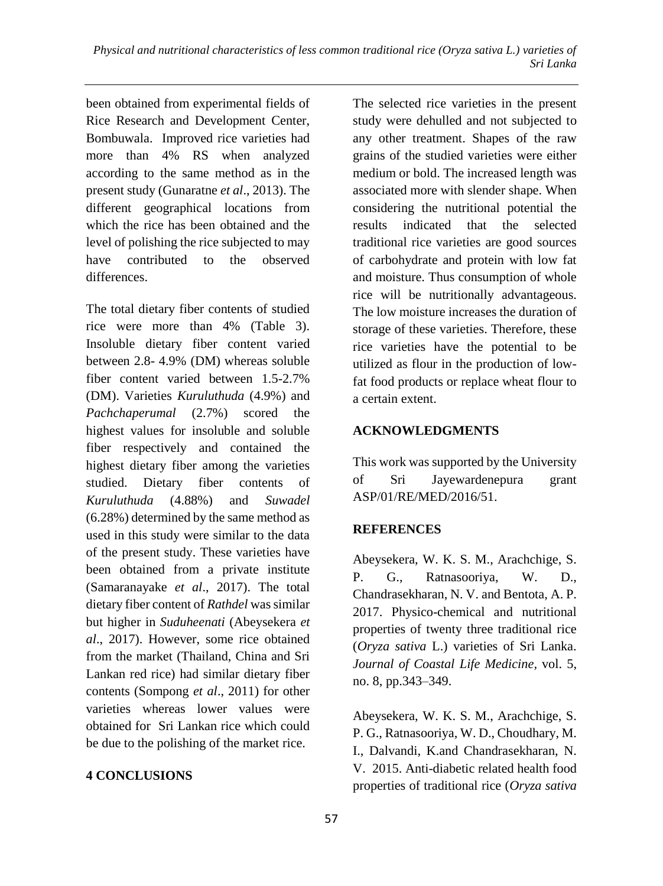been obtained from experimental fields of Rice Research and Development Center, Bombuwala. Improved rice varieties had more than 4% RS when analyzed according to the same method as in the present study (Gunaratne *et al*., 2013). The different geographical locations from which the rice has been obtained and the level of polishing the rice subjected to may have contributed to the observed differences.

The total dietary fiber contents of studied rice were more than 4% (Table 3). Insoluble dietary fiber content varied between 2.8- 4.9% (DM) whereas soluble fiber content varied between 1.5-2.7% (DM). Varieties *Kuruluthuda* (4.9%) and *Pachchaperumal* (2.7%) scored the highest values for insoluble and soluble fiber respectively and contained the highest dietary fiber among the varieties studied. Dietary fiber contents of *Kuruluthuda* (4.88%) and *Suwadel* (6.28%) determined by the same method as used in this study were similar to the data of the present study. These varieties have been obtained from a private institute (Samaranayake *et al*., 2017). The total dietary fiber content of *Rathdel* was similar but higher in *Suduheenati* (Abeysekera *et al*., 2017). However, some rice obtained from the market (Thailand, China and Sri Lankan red rice) had similar dietary fiber contents (Sompong *et al*., 2011) for other varieties whereas lower values were obtained for Sri Lankan rice which could be due to the polishing of the market rice.

#### **4 CONCLUSIONS**

The selected rice varieties in the present study were dehulled and not subjected to any other treatment. Shapes of the raw grains of the studied varieties were either medium or bold. The increased length was associated more with slender shape. When considering the nutritional potential the results indicated that the selected traditional rice varieties are good sources of carbohydrate and protein with low fat and moisture. Thus consumption of whole rice will be nutritionally advantageous. The low moisture increases the duration of storage of these varieties. Therefore, these rice varieties have the potential to be utilized as flour in the production of lowfat food products or replace wheat flour to a certain extent.

#### **ACKNOWLEDGMENTS**

This work was supported by the University of Sri Jayewardenepura grant ASP/01/RE/MED/2016/51.

#### **REFERENCES**

Abeysekera, W. K. S. M., Arachchige, S. P. G., Ratnasooriya, W. D., Chandrasekharan, N. V. and Bentota, A. P. 2017. Physico-chemical and nutritional properties of twenty three traditional rice (*Oryza sativa* L.) varieties of Sri Lanka. *Journal of Coastal Life Medicine,* vol. 5, no. 8, pp.343–349.

Abeysekera, W. K. S. M., Arachchige, S. P. G., Ratnasooriya, W. D., Choudhary, M. I., Dalvandi, K.and Chandrasekharan, N. V. 2015. Anti-diabetic related health food properties of traditional rice (*Oryza sativa*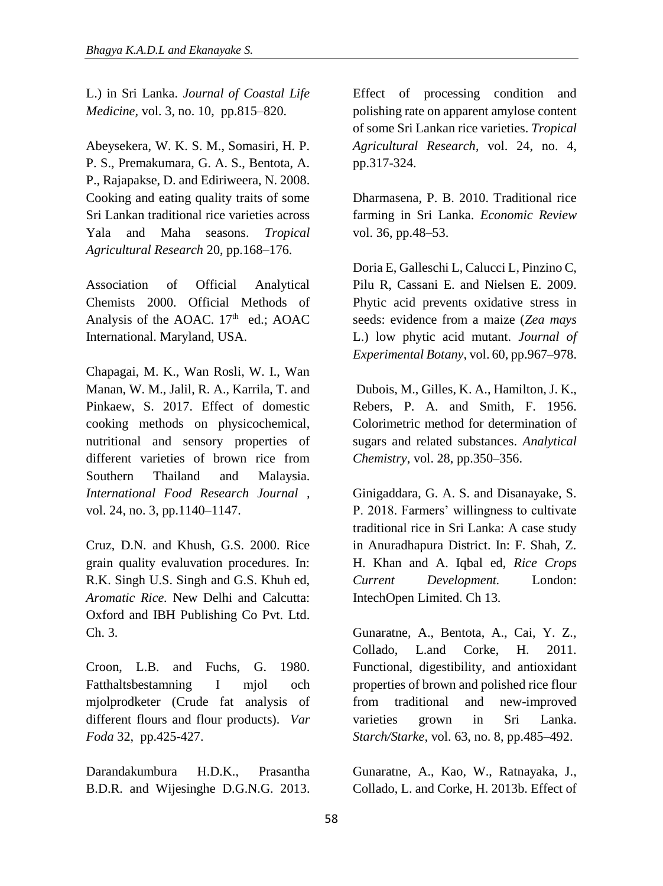L.) in Sri Lanka. *Journal of Coastal Life Medicine,* vol. 3, no. 10, pp.815–820.

Abeysekera, W. K. S. M., Somasiri, H. P. P. S., Premakumara, G. A. S., Bentota, A. P., Rajapakse, D. and Ediriweera, N. 2008. Cooking and eating quality traits of some Sri Lankan traditional rice varieties across Yala and Maha seasons. *Tropical Agricultural Research* 20, pp.168–176.

Association of Official Analytical Chemists 2000. Official Methods of Analysis of the AOAC.  $17<sup>th</sup>$  ed.; AOAC International. Maryland, USA.

Chapagai, M. K., Wan Rosli, W. I., Wan Manan, W. M., Jalil, R. A., Karrila, T. and Pinkaew, S. 2017. Effect of domestic cooking methods on physicochemical, nutritional and sensory properties of different varieties of brown rice from Southern Thailand and Malaysia. *International Food Research Journal ,*  vol. 24, no. 3, pp.1140–1147.

Cruz, D.N. and Khush, G.S. 2000. Rice grain quality evaluvation procedures. In: R.K. Singh U.S. Singh and G.S. Khuh ed, *Aromatic Rice.* New Delhi and Calcutta: Oxford and IBH Publishing Co Pvt. Ltd. Ch. 3.

Croon, L.B. and Fuchs, G. 1980. Fatthaltsbestamning I mjol och mjolprodketer (Crude fat analysis of different flours and flour products). *Var Foda* 32, pp.425-427.

Darandakumbura H.D.K., Prasantha B.D.R. and Wijesinghe D.G.N.G. 2013.

Effect of processing condition and polishing rate on apparent amylose content of some Sri Lankan rice varieties. *Tropical Agricultural Research*, vol. 24, no. 4, pp.317-324.

Dharmasena, P. B. 2010. Traditional rice farming in Sri Lanka. *Economic Review*  vol. 36, pp.48–53.

Doria E, Galleschi L, Calucci L, Pinzino C, Pilu R, Cassani E. and Nielsen E. 2009. Phytic acid prevents oxidative stress in seeds: evidence from a maize (*Zea mays* L.) low phytic acid mutant. *Journal of Experimental Botany*, vol. 60, pp.967–978.

Dubois, M., Gilles, K. A., Hamilton, J. K., Rebers, P. A. and Smith, F. 1956. Colorimetric method for determination of sugars and related substances. *Analytical Chemistry*, vol. 28, pp.350–356.

Ginigaddara, G. A. S. and Disanayake, S. P. 2018. Farmers' willingness to cultivate traditional rice in Sri Lanka: A case study in Anuradhapura District. In: F. Shah, Z. H. Khan and A. Iqbal ed, *Rice Crops Current Development.* London: IntechOpen Limited. Ch 13.

Gunaratne, A., Bentota, A., Cai, Y. Z., Collado, L.and Corke, H. 2011. Functional, digestibility, and antioxidant properties of brown and polished rice flour from traditional and new-improved varieties grown in Sri Lanka. *Starch/Starke,* vol. 63, no. 8, pp.485–492.

Gunaratne, A., Kao, W., Ratnayaka, J., Collado, L. and Corke, H. 2013b. Effect of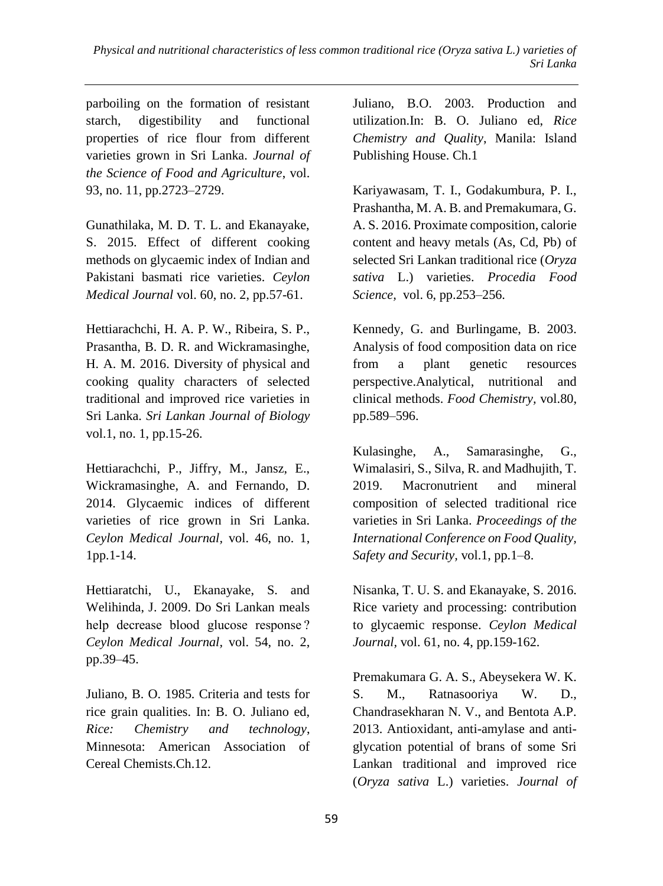parboiling on the formation of resistant starch, digestibility and functional properties of rice flour from different varieties grown in Sri Lanka. *Journal of the Science of Food and Agriculture*, vol. 93, no. 11, pp.2723–2729.

Gunathilaka, M. D. T. L. and Ekanayake, S. 2015. Effect of different cooking methods on glycaemic index of Indian and Pakistani basmati rice varieties. *Ceylon Medical Journal* vol. 60, no. 2, pp.57-61.

Hettiarachchi, H. A. P. W., Ribeira, S. P., Prasantha, B. D. R. and Wickramasinghe, H. A. M. 2016. Diversity of physical and cooking quality characters of selected traditional and improved rice varieties in Sri Lanka. *Sri Lankan Journal of Biology*  vol.1, no. 1, pp.15-26.

Hettiarachchi, P., Jiffry, M., Jansz, E., Wickramasinghe, A. and Fernando, D. 2014. Glycaemic indices of different varieties of rice grown in Sri Lanka. *Ceylon Medical Journal,* vol. 46, no. 1, 1pp.1-14.

Hettiaratchi, U., Ekanayake, S. and Welihinda, J. 2009. Do Sri Lankan meals help decrease blood glucose response ? *Ceylon Medical Journal,* vol. 54, no. 2, pp.39–45.

Juliano, B. O. 1985. Criteria and tests for rice grain qualities. In: B. O. Juliano ed, *Rice: Chemistry and technology*, Minnesota: American Association of Cereal Chemists.Ch.12.

Juliano, B.O. 2003. Production and utilization.In: B. O. Juliano ed, *Rice Chemistry and Quality*, Manila: Island Publishing House. Ch.1

Kariyawasam, T. I., Godakumbura, P. I., Prashantha, M. A. B. and Premakumara, G. A. S. 2016. Proximate composition, calorie content and heavy metals (As, Cd, Pb) of selected Sri Lankan traditional rice (*Oryza sativa* L.) varieties. *Procedia Food Science,* vol. 6, pp.253–256.

Kennedy, G. and Burlingame, B. 2003. Analysis of food composition data on rice from a plant genetic resources perspective.Analytical, nutritional and clinical methods. *Food Chemistry,* vol.80, pp.589–596.

Kulasinghe, A., Samarasinghe, G., Wimalasiri, S., Silva, R. and Madhujith, T. 2019. Macronutrient and mineral composition of selected traditional rice varieties in Sri Lanka. *Proceedings of the International Conference on Food Quality, Safety and Security,* vol.1, pp.1–8.

Nisanka, T. U. S. and Ekanayake, S. 2016. Rice variety and processing: contribution to glycaemic response. *Ceylon Medical Journal,* vol. 61, no. 4, pp.159-162.

Premakumara G. A. S., Abeysekera W. K. S. M., Ratnasooriya W. D., Chandrasekharan N. V., and Bentota A.P. 2013. Antioxidant, anti-amylase and antiglycation potential of brans of some Sri Lankan traditional and improved rice (*Oryza sativa* L.) varieties. *Journal of*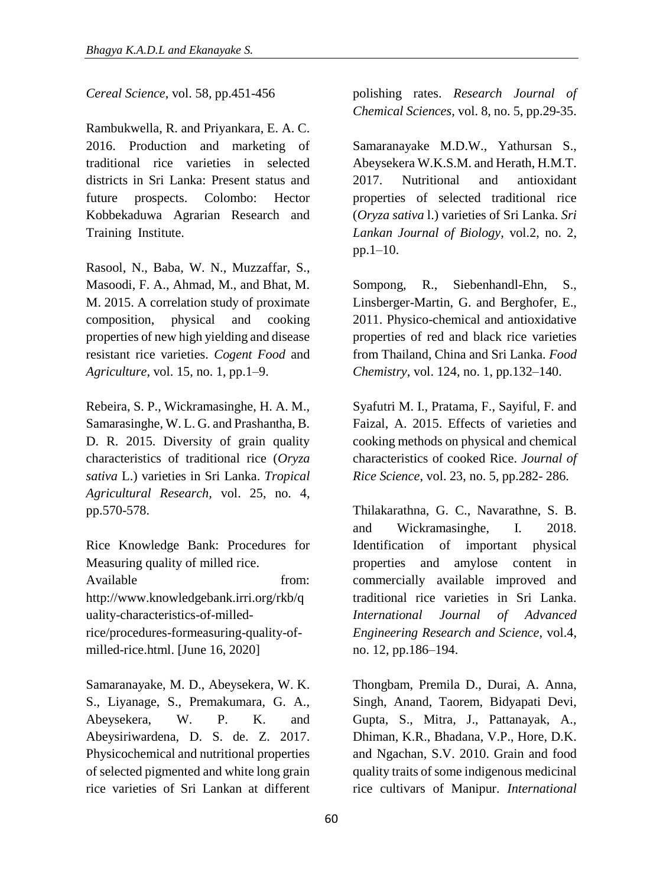*Cereal Science*, vol. 58, pp.451-456

Rambukwella, R. and Priyankara, E. A. C. 2016. Production and marketing of traditional rice varieties in selected districts in Sri Lanka: Present status and future prospects. Colombo: Hector Kobbekaduwa Agrarian Research and Training Institute.

Rasool, N., Baba, W. N., Muzzaffar, S., Masoodi, F. A., Ahmad, M., and Bhat, M. M. 2015. A correlation study of proximate composition, physical and cooking properties of new high yielding and disease resistant rice varieties. *Cogent Food* and *Agriculture,* vol. 15, no. 1, pp.1–9.

Rebeira, S. P., Wickramasinghe, H. A. M., Samarasinghe, W. L. G. and Prashantha, B. D. R. 2015. Diversity of grain quality characteristics of traditional rice (*Oryza sativa* L.) varieties in Sri Lanka. *Tropical Agricultural Research,* vol. 25, no. 4, pp.570-578.

Rice Knowledge Bank: Procedures for Measuring quality of milled rice. Available from: http://www.knowledgebank.irri.org/rkb/q uality-characteristics-of-milledrice/procedures-formeasuring-quality-ofmilled-rice.html. [June 16, 2020]

Samaranayake, M. D., Abeysekera, W. K. S., Liyanage, S., Premakumara, G. A., Abeysekera, W. P. K. and Abeysiriwardena, D. S. de. Z. 2017. Physicochemical and nutritional properties of selected pigmented and white long grain rice varieties of Sri Lankan at different polishing rates. *Research Journal of Chemical Sciences*, vol. 8, no. 5, pp.29-35.

Samaranayake M.D.W., Yathursan S., Abeysekera W.K.S.M. and Herath, H.M.T. 2017. Nutritional and antioxidant properties of selected traditional rice (*Oryza sativa* l.) varieties of Sri Lanka. *Sri Lankan Journal of Biology,* vol.2, no. 2, pp.1–10.

Sompong, R., Siebenhandl-Ehn, S., Linsberger-Martin, G. and Berghofer, E., 2011. Physico-chemical and antioxidative properties of red and black rice varieties from Thailand, China and Sri Lanka. *Food Chemistry,* vol. 124, no. 1, pp.132–140.

Syafutri M. I., Pratama, F., Sayiful, F. and Faizal, A. 2015. Effects of varieties and cooking methods on physical and chemical characteristics of cooked Rice. *Journal of Rice Science*, vol. 23, no. 5, pp.282- 286.

Thilakarathna, G. C., Navarathne, S. B. and Wickramasinghe, I. 2018. Identification of important physical properties and amylose content in commercially available improved and traditional rice varieties in Sri Lanka. *International Journal of Advanced Engineering Research and Science,* vol.4, no. 12, pp.186–194.

Thongbam, Premila D., Durai, A. Anna, Singh, Anand, Taorem, Bidyapati Devi, Gupta, S., Mitra, J., Pattanayak, A., Dhiman, K.R., Bhadana, V.P., Hore, D.K. and Ngachan, S.V. 2010. Grain and food quality traits of some indigenous medicinal rice cultivars of Manipur. *International*